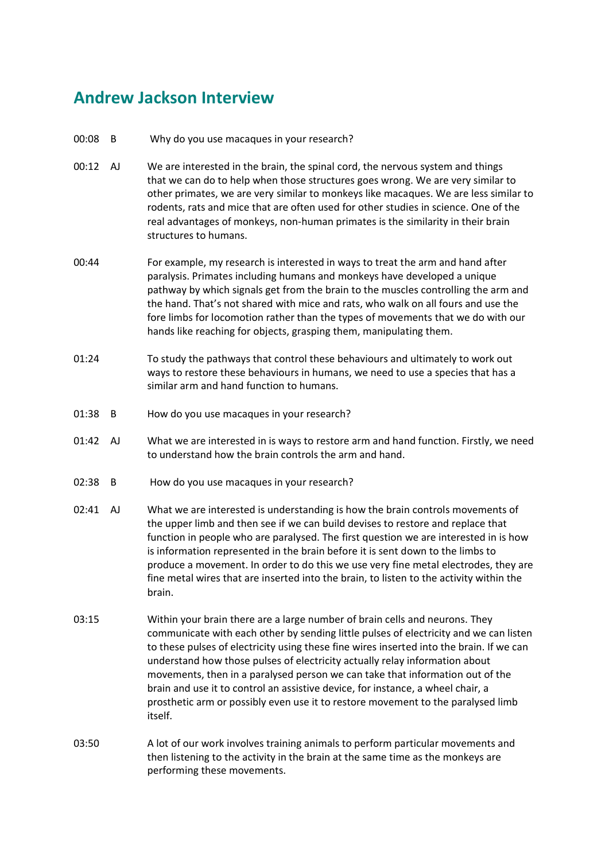## **Andrew Jackson Interview**

- 00:08 B Why do you use macaques in your research?
- 00:12 AJ We are interested in the brain, the spinal cord, the nervous system and things that we can do to help when those structures goes wrong. We are very similar to other primates, we are very similar to monkeys like macaques. We are less similar to rodents, rats and mice that are often used for other studies in science. One of the real advantages of monkeys, non-human primates is the similarity in their brain structures to humans.
- 00:44 For example, my research is interested in ways to treat the arm and hand after paralysis. Primates including humans and monkeys have developed a unique pathway by which signals get from the brain to the muscles controlling the arm and the hand. That's not shared with mice and rats, who walk on all fours and use the fore limbs for locomotion rather than the types of movements that we do with our hands like reaching for objects, grasping them, manipulating them.
- 01:24 To study the pathways that control these behaviours and ultimately to work out ways to restore these behaviours in humans, we need to use a species that has a similar arm and hand function to humans.
- 01:38 B How do you use macaques in your research?
- 01:42 AJ What we are interested in is ways to restore arm and hand function. Firstly, we need to understand how the brain controls the arm and hand.
- 02:38 B How do you use macaques in your research?
- 02:41 AJ What we are interested is understanding is how the brain controls movements of the upper limb and then see if we can build devises to restore and replace that function in people who are paralysed. The first question we are interested in is how is information represented in the brain before it is sent down to the limbs to produce a movement. In order to do this we use very fine metal electrodes, they are fine metal wires that are inserted into the brain, to listen to the activity within the brain.
- 03:15 Within your brain there are a large number of brain cells and neurons. They communicate with each other by sending little pulses of electricity and we can listen to these pulses of electricity using these fine wires inserted into the brain. If we can understand how those pulses of electricity actually relay information about movements, then in a paralysed person we can take that information out of the brain and use it to control an assistive device, for instance, a wheel chair, a prosthetic arm or possibly even use it to restore movement to the paralysed limb itself.
- 03:50 A lot of our work involves training animals to perform particular movements and then listening to the activity in the brain at the same time as the monkeys are performing these movements.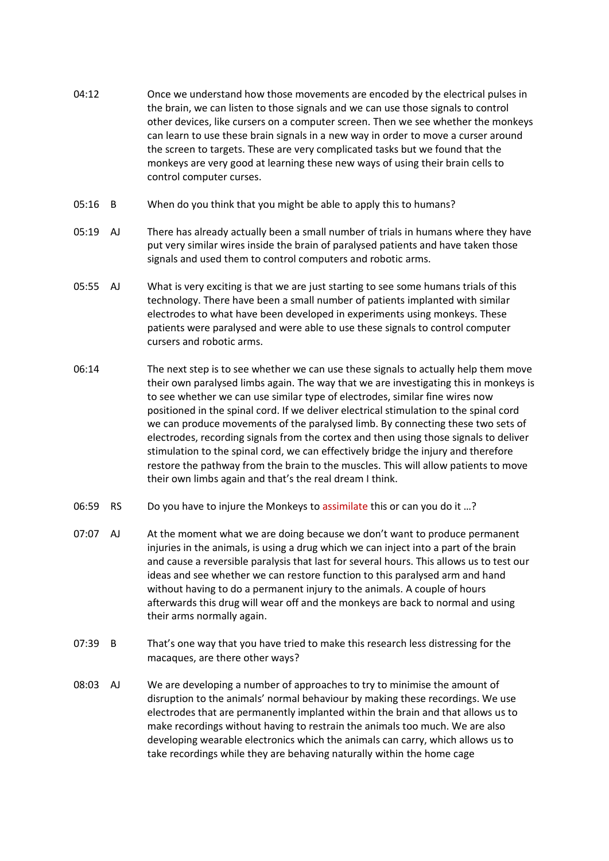- 04:12 Once we understand how those movements are encoded by the electrical pulses in the brain, we can listen to those signals and we can use those signals to control other devices, like cursers on a computer screen. Then we see whether the monkeys can learn to use these brain signals in a new way in order to move a curser around the screen to targets. These are very complicated tasks but we found that the monkeys are very good at learning these new ways of using their brain cells to control computer curses.
- 05:16 B When do you think that you might be able to apply this to humans?
- 05:19 AJ There has already actually been a small number of trials in humans where they have put very similar wires inside the brain of paralysed patients and have taken those signals and used them to control computers and robotic arms.
- 05:55 AJ What is very exciting is that we are just starting to see some humans trials of this technology. There have been a small number of patients implanted with similar electrodes to what have been developed in experiments using monkeys. These patients were paralysed and were able to use these signals to control computer cursers and robotic arms.
- 06:14 The next step is to see whether we can use these signals to actually help them move their own paralysed limbs again. The way that we are investigating this in monkeys is to see whether we can use similar type of electrodes, similar fine wires now positioned in the spinal cord. If we deliver electrical stimulation to the spinal cord we can produce movements of the paralysed limb. By connecting these two sets of electrodes, recording signals from the cortex and then using those signals to deliver stimulation to the spinal cord, we can effectively bridge the injury and therefore restore the pathway from the brain to the muscles. This will allow patients to move their own limbs again and that's the real dream I think.
- 06:59 RS Do you have to injure the Monkeys to assimilate this or can you do it ...?
- 07:07 AJ At the moment what we are doing because we don't want to produce permanent injuries in the animals, is using a drug which we can inject into a part of the brain and cause a reversible paralysis that last for several hours. This allows us to test our ideas and see whether we can restore function to this paralysed arm and hand without having to do a permanent injury to the animals. A couple of hours afterwards this drug will wear off and the monkeys are back to normal and using their arms normally again.
- 07:39 B That's one way that you have tried to make this research less distressing for the macaques, are there other ways?
- 08:03 AJ We are developing a number of approaches to try to minimise the amount of disruption to the animals' normal behaviour by making these recordings. We use electrodes that are permanently implanted within the brain and that allows us to make recordings without having to restrain the animals too much. We are also developing wearable electronics which the animals can carry, which allows us to take recordings while they are behaving naturally within the home cage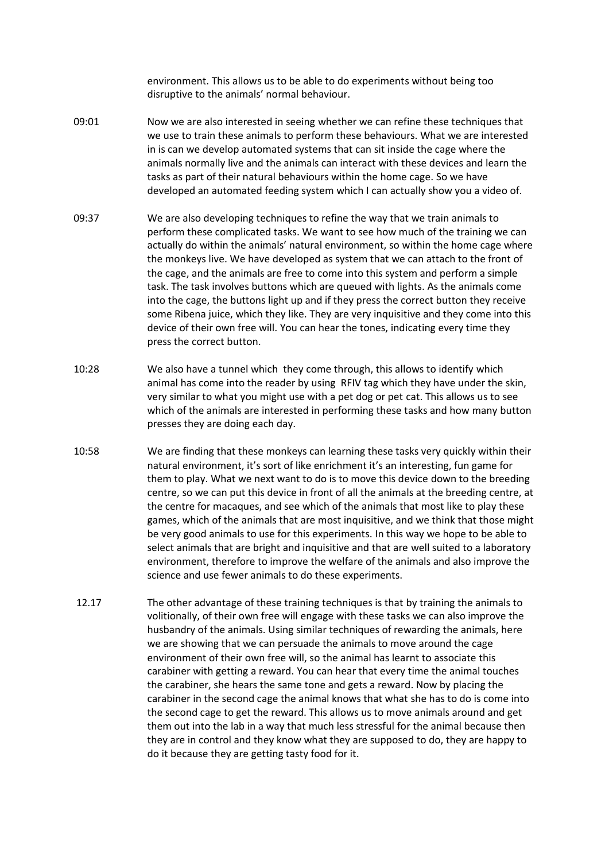environment. This allows us to be able to do experiments without being too disruptive to the animals' normal behaviour.

- 09:01 Now we are also interested in seeing whether we can refine these techniques that we use to train these animals to perform these behaviours. What we are interested in is can we develop automated systems that can sit inside the cage where the animals normally live and the animals can interact with these devices and learn the tasks as part of their natural behaviours within the home cage. So we have developed an automated feeding system which I can actually show you a video of.
- 09:37 We are also developing techniques to refine the way that we train animals to perform these complicated tasks. We want to see how much of the training we can actually do within the animals' natural environment, so within the home cage where the monkeys live. We have developed as system that we can attach to the front of the cage, and the animals are free to come into this system and perform a simple task. The task involves buttons which are queued with lights. As the animals come into the cage, the buttons light up and if they press the correct button they receive some Ribena juice, which they like. They are very inquisitive and they come into this device of their own free will. You can hear the tones, indicating every time they press the correct button.
- 10:28 We also have a tunnel which they come through, this allows to identify which animal has come into the reader by using RFIV tag which they have under the skin, very similar to what you might use with a pet dog or pet cat. This allows us to see which of the animals are interested in performing these tasks and how many button presses they are doing each day.
- 10:58 We are finding that these monkeys can learning these tasks very quickly within their natural environment, it's sort of like enrichment it's an interesting, fun game for them to play. What we next want to do is to move this device down to the breeding centre, so we can put this device in front of all the animals at the breeding centre, at the centre for macaques, and see which of the animals that most like to play these games, which of the animals that are most inquisitive, and we think that those might be very good animals to use for this experiments. In this way we hope to be able to select animals that are bright and inquisitive and that are well suited to a laboratory environment, therefore to improve the welfare of the animals and also improve the science and use fewer animals to do these experiments.
- 12.17 The other advantage of these training techniques is that by training the animals to volitionally, of their own free will engage with these tasks we can also improve the husbandry of the animals. Using similar techniques of rewarding the animals, here we are showing that we can persuade the animals to move around the cage environment of their own free will, so the animal has learnt to associate this carabiner with getting a reward. You can hear that every time the animal touches the carabiner, she hears the same tone and gets a reward. Now by placing the carabiner in the second cage the animal knows that what she has to do is come into the second cage to get the reward. This allows us to move animals around and get them out into the lab in a way that much less stressful for the animal because then they are in control and they know what they are supposed to do, they are happy to do it because they are getting tasty food for it.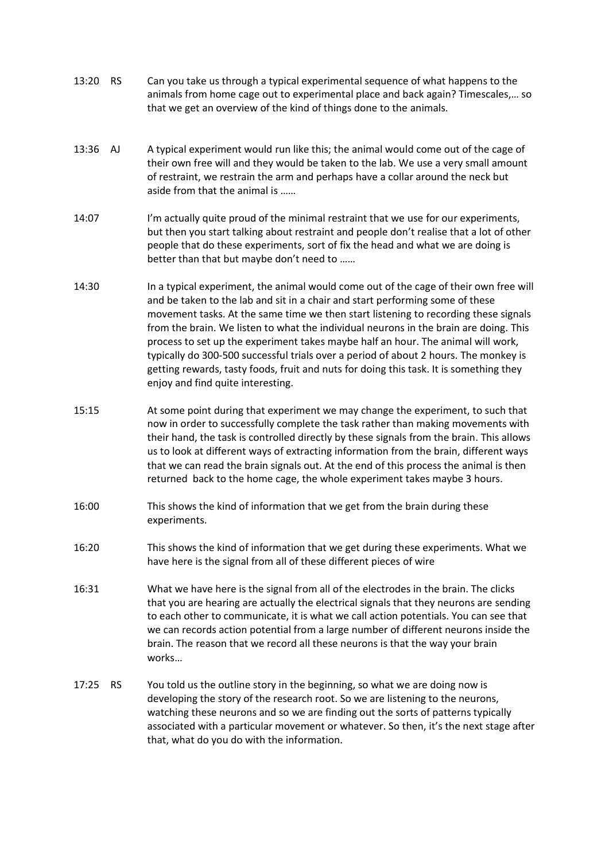- 13:20 RS Can you take us through a typical experimental sequence of what happens to the animals from home cage out to experimental place and back again? Timescales,… so that we get an overview of the kind of things done to the animals.
- 13:36 AJ A typical experiment would run like this; the animal would come out of the cage of their own free will and they would be taken to the lab. We use a very small amount of restraint, we restrain the arm and perhaps have a collar around the neck but aside from that the animal is ……
- 14:07 I'm actually quite proud of the minimal restraint that we use for our experiments, but then you start talking about restraint and people don't realise that a lot of other people that do these experiments, sort of fix the head and what we are doing is better than that but maybe don't need to ……
- 14:30 In a typical experiment, the animal would come out of the cage of their own free will and be taken to the lab and sit in a chair and start performing some of these movement tasks. At the same time we then start listening to recording these signals from the brain. We listen to what the individual neurons in the brain are doing. This process to set up the experiment takes maybe half an hour. The animal will work, typically do 300-500 successful trials over a period of about 2 hours. The monkey is getting rewards, tasty foods, fruit and nuts for doing this task. It is something they enjoy and find quite interesting.
- 15:15 At some point during that experiment we may change the experiment, to such that now in order to successfully complete the task rather than making movements with their hand, the task is controlled directly by these signals from the brain. This allows us to look at different ways of extracting information from the brain, different ways that we can read the brain signals out. At the end of this process the animal is then returned back to the home cage, the whole experiment takes maybe 3 hours.
- 16:00 This shows the kind of information that we get from the brain during these experiments.
- 16:20 This shows the kind of information that we get during these experiments. What we have here is the signal from all of these different pieces of wire
- 16:31 What we have here is the signal from all of the electrodes in the brain. The clicks that you are hearing are actually the electrical signals that they neurons are sending to each other to communicate, it is what we call action potentials. You can see that we can records action potential from a large number of different neurons inside the brain. The reason that we record all these neurons is that the way your brain works…
- 17:25 RS You told us the outline story in the beginning, so what we are doing now is developing the story of the research root. So we are listening to the neurons, watching these neurons and so we are finding out the sorts of patterns typically associated with a particular movement or whatever. So then, it's the next stage after that, what do you do with the information.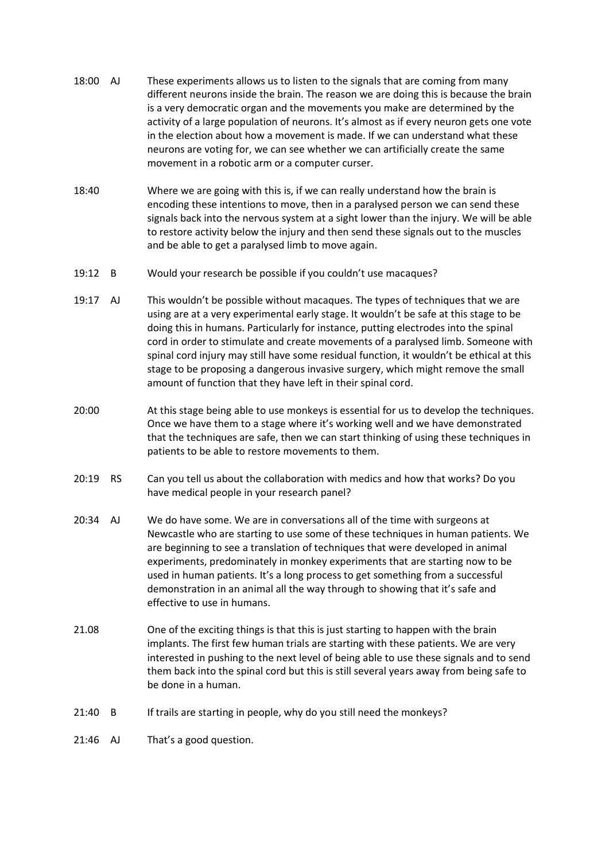- 18:00 AJ These experiments allows us to listen to the signals that are coming from many different neurons inside the brain. The reason we are doing this is because the brain is a very democratic organ and the movements you make are determined by the activity of a large population of neurons. It's almost as if every neuron gets one vote in the election about how a movement is made. If we can understand what these neurons are voting for, we can see whether we can artificially create the same movement in a robotic arm or a computer curser.
- 18:40 Where we are going with this is, if we can really understand how the brain is encoding these intentions to move, then in a paralysed person we can send these signals back into the nervous system at a sight lower than the injury. We will be able to restore activity below the injury and then send these signals out to the muscles and be able to get a paralysed limb to move again.
- 19:12 B Would your research be possible if you couldn't use macaques?
- 19:17 AJ This wouldn't be possible without macaques. The types of techniques that we are using are at a very experimental early stage. It wouldn't be safe at this stage to be doing this in humans. Particularly for instance, putting electrodes into the spinal cord in order to stimulate and create movements of a paralysed limb. Someone with spinal cord injury may still have some residual function, it wouldn't be ethical at this stage to be proposing a dangerous invasive surgery, which might remove the small amount of function that they have left in their spinal cord.
- 20:00 At this stage being able to use monkeys is essential for us to develop the techniques. Once we have them to a stage where it's working well and we have demonstrated that the techniques are safe, then we can start thinking of using these techniques in patients to be able to restore movements to them.
- 20:19 RS Can you tell us about the collaboration with medics and how that works? Do you have medical people in your research panel?
- 20:34 AJ We do have some. We are in conversations all of the time with surgeons at Newcastle who are starting to use some of these techniques in human patients. We are beginning to see a translation of techniques that were developed in animal experiments, predominately in monkey experiments that are starting now to be used in human patients. It's a long process to get something from a successful demonstration in an animal all the way through to showing that it's safe and effective to use in humans.
- 21.08 One of the exciting things is that this is just starting to happen with the brain implants. The first few human trials are starting with these patients. We are very interested in pushing to the next level of being able to use these signals and to send them back into the spinal cord but this is still several years away from being safe to be done in a human.
- 21:40 B If trails are starting in people, why do you still need the monkeys?
- 21:46 AJ That's a good question.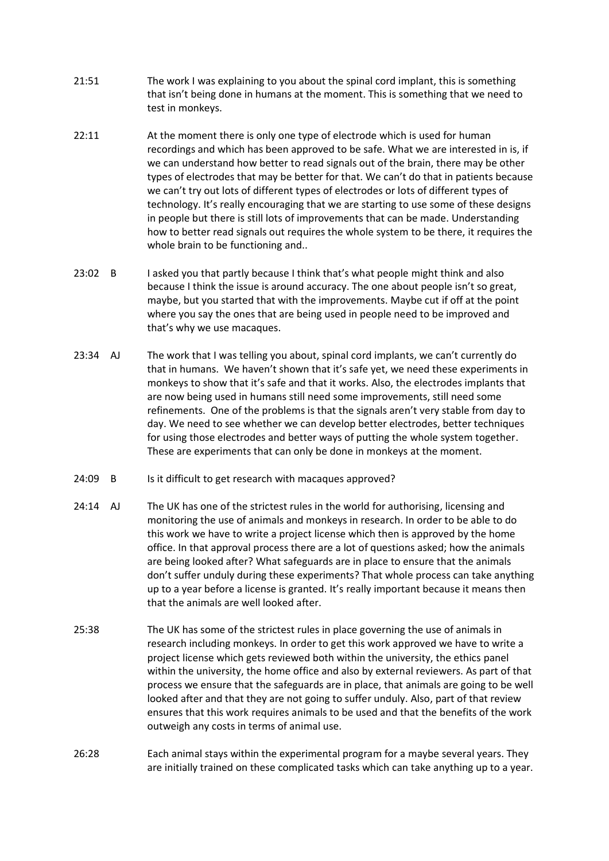- 21:51 The work I was explaining to you about the spinal cord implant, this is something that isn't being done in humans at the moment. This is something that we need to test in monkeys.
- 22:11 At the moment there is only one type of electrode which is used for human recordings and which has been approved to be safe. What we are interested in is, if we can understand how better to read signals out of the brain, there may be other types of electrodes that may be better for that. We can't do that in patients because we can't try out lots of different types of electrodes or lots of different types of technology. It's really encouraging that we are starting to use some of these designs in people but there is still lots of improvements that can be made. Understanding how to better read signals out requires the whole system to be there, it requires the whole brain to be functioning and..
- 23:02 B I asked you that partly because I think that's what people might think and also because I think the issue is around accuracy. The one about people isn't so great, maybe, but you started that with the improvements. Maybe cut if off at the point where you say the ones that are being used in people need to be improved and that's why we use macaques.
- 23:34 AJ The work that I was telling you about, spinal cord implants, we can't currently do that in humans. We haven't shown that it's safe yet, we need these experiments in monkeys to show that it's safe and that it works. Also, the electrodes implants that are now being used in humans still need some improvements, still need some refinements. One of the problems is that the signals aren't very stable from day to day. We need to see whether we can develop better electrodes, better techniques for using those electrodes and better ways of putting the whole system together. These are experiments that can only be done in monkeys at the moment.
- 24:09 B Is it difficult to get research with macaques approved?
- 24:14 AJ The UK has one of the strictest rules in the world for authorising, licensing and monitoring the use of animals and monkeys in research. In order to be able to do this work we have to write a project license which then is approved by the home office. In that approval process there are a lot of questions asked; how the animals are being looked after? What safeguards are in place to ensure that the animals don't suffer unduly during these experiments? That whole process can take anything up to a year before a license is granted. It's really important because it means then that the animals are well looked after.
- 25:38 The UK has some of the strictest rules in place governing the use of animals in research including monkeys. In order to get this work approved we have to write a project license which gets reviewed both within the university, the ethics panel within the university, the home office and also by external reviewers. As part of that process we ensure that the safeguards are in place, that animals are going to be well looked after and that they are not going to suffer unduly. Also, part of that review ensures that this work requires animals to be used and that the benefits of the work outweigh any costs in terms of animal use.
- 26:28 Each animal stays within the experimental program for a maybe several years. They are initially trained on these complicated tasks which can take anything up to a year.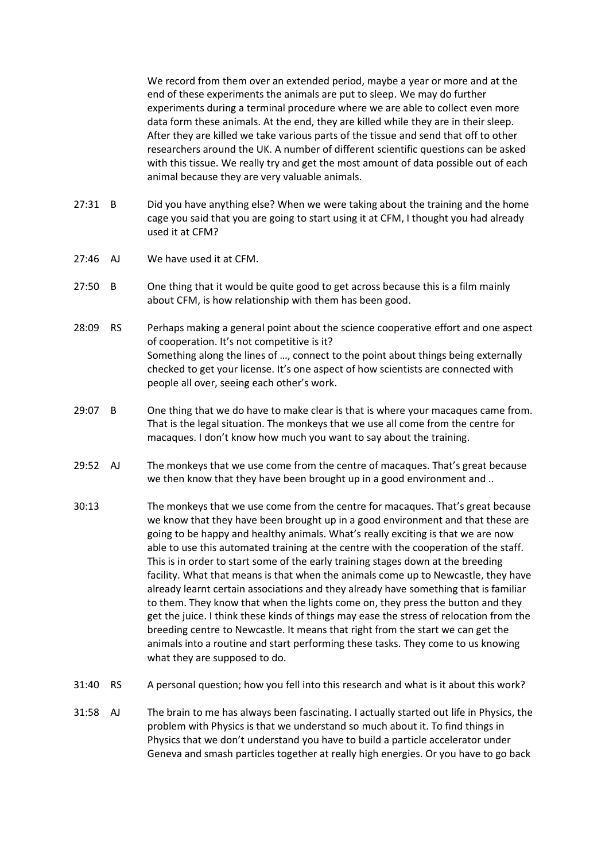We record from them over an extended period, maybe a year or more and at the end of these experiments the animals are put to sleep. We may do further experiments during a terminal procedure where we are able to collect even more data form these animals. At the end, they are killed while they are in their sleep. After they are killed we take various parts of the tissue and send that off to other researchers around the UK. A number of different scientific questions can be asked with this tissue. We really try and get the most amount of data possible out of each animal because they are very valuable animals.

- 27:31 B Did you have anything else? When we were taking about the training and the home cage you said that you are going to start using it at CFM, I thought you had already used it at CFM?
- 27:46 AJ We have used it at CFM.
- 27:50 B One thing that it would be quite good to get across because this is a film mainly about CFM, is how relationship with them has been good.
- 28:09 RS Perhaps making a general point about the science cooperative effort and one aspect of cooperation. It's not competitive is it? Something along the lines of …, connect to the point about things being externally checked to get your license. It's one aspect of how scientists are connected with people all over, seeing each other's work.
- 29:07 B One thing that we do have to make clear is that is where your macaques came from. That is the legal situation. The monkeys that we use all come from the centre for macaques. I don't know how much you want to say about the training.
- 29:52 AJ The monkeys that we use come from the centre of macaques. That's great because we then know that they have been brought up in a good environment and ..
- 30:13 The monkeys that we use come from the centre for macaques. That's great because we know that they have been brought up in a good environment and that these are going to be happy and healthy animals. What's really exciting is that we are now able to use this automated training at the centre with the cooperation of the staff. This is in order to start some of the early training stages down at the breeding facility. What that means is that when the animals come up to Newcastle, they have already learnt certain associations and they already have something that is familiar to them. They know that when the lights come on, they press the button and they get the juice. I think these kinds of things may ease the stress of relocation from the breeding centre to Newcastle. It means that right from the start we can get the animals into a routine and start performing these tasks. They come to us knowing what they are supposed to do.
- 31:40 RS A personal question; how you fell into this research and what is it about this work?
- 31:58 AJ The brain to me has always been fascinating. I actually started out life in Physics, the problem with Physics is that we understand so much about it. To find things in Physics that we don't understand you have to build a particle accelerator under Geneva and smash particles together at really high energies. Or you have to go back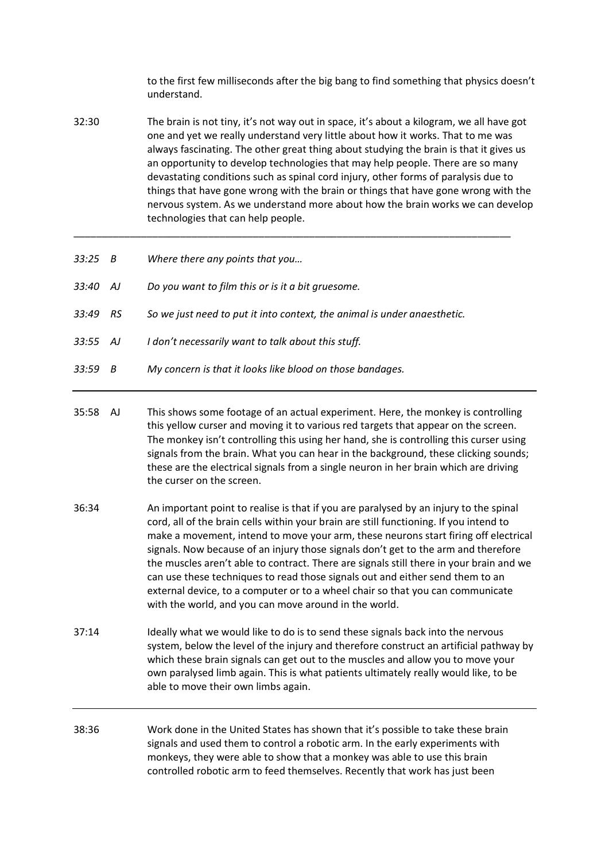to the first few milliseconds after the big bang to find something that physics doesn't understand.

32:30 The brain is not tiny, it's not way out in space, it's about a kilogram, we all have got one and yet we really understand very little about how it works. That to me was always fascinating. The other great thing about studying the brain is that it gives us an opportunity to develop technologies that may help people. There are so many devastating conditions such as spinal cord injury, other forms of paralysis due to things that have gone wrong with the brain or things that have gone wrong with the nervous system. As we understand more about how the brain works we can develop technologies that can help people.

\_\_\_\_\_\_\_\_\_\_\_\_\_\_\_\_\_\_\_\_\_\_\_\_\_\_\_\_\_\_\_\_\_\_\_\_\_\_\_\_\_\_\_\_\_\_\_\_\_\_\_\_\_\_\_\_\_\_\_\_\_\_\_\_\_\_\_\_\_\_\_\_\_\_\_\_\_\_

- *33:25 B Where there any points that you…*
- *33:40 AJ Do you want to film this or is it a bit gruesome.*
- *33:49 RS So we just need to put it into context, the animal is under anaesthetic.*
- *33:55 AJ I don't necessarily want to talk about this stuff.*
- *33:59 B My concern is that it looks like blood on those bandages.*
- 35:58 AJ This shows some footage of an actual experiment. Here, the monkey is controlling this yellow curser and moving it to various red targets that appear on the screen. The monkey isn't controlling this using her hand, she is controlling this curser using signals from the brain. What you can hear in the background, these clicking sounds; these are the electrical signals from a single neuron in her brain which are driving the curser on the screen.
- 36:34 An important point to realise is that if you are paralysed by an injury to the spinal cord, all of the brain cells within your brain are still functioning. If you intend to make a movement, intend to move your arm, these neurons start firing off electrical signals. Now because of an injury those signals don't get to the arm and therefore the muscles aren't able to contract. There are signals still there in your brain and we can use these techniques to read those signals out and either send them to an external device, to a computer or to a wheel chair so that you can communicate with the world, and you can move around in the world.
- 37:14 Ideally what we would like to do is to send these signals back into the nervous system, below the level of the injury and therefore construct an artificial pathway by which these brain signals can get out to the muscles and allow you to move your own paralysed limb again. This is what patients ultimately really would like, to be able to move their own limbs again.
- 38:36 Work done in the United States has shown that it's possible to take these brain signals and used them to control a robotic arm. In the early experiments with monkeys, they were able to show that a monkey was able to use this brain controlled robotic arm to feed themselves. Recently that work has just been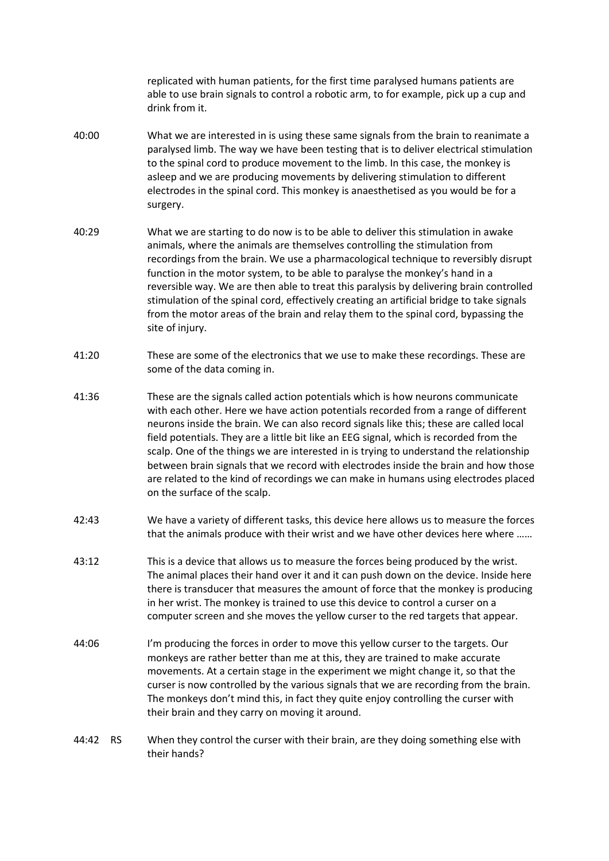replicated with human patients, for the first time paralysed humans patients are able to use brain signals to control a robotic arm, to for example, pick up a cup and drink from it.

- 40:00 What we are interested in is using these same signals from the brain to reanimate a paralysed limb. The way we have been testing that is to deliver electrical stimulation to the spinal cord to produce movement to the limb. In this case, the monkey is asleep and we are producing movements by delivering stimulation to different electrodes in the spinal cord. This monkey is anaesthetised as you would be for a surgery.
- 40:29 What we are starting to do now is to be able to deliver this stimulation in awake animals, where the animals are themselves controlling the stimulation from recordings from the brain. We use a pharmacological technique to reversibly disrupt function in the motor system, to be able to paralyse the monkey's hand in a reversible way. We are then able to treat this paralysis by delivering brain controlled stimulation of the spinal cord, effectively creating an artificial bridge to take signals from the motor areas of the brain and relay them to the spinal cord, bypassing the site of injury.
- 41:20 These are some of the electronics that we use to make these recordings. These are some of the data coming in.
- 41:36 These are the signals called action potentials which is how neurons communicate with each other. Here we have action potentials recorded from a range of different neurons inside the brain. We can also record signals like this; these are called local field potentials. They are a little bit like an EEG signal, which is recorded from the scalp. One of the things we are interested in is trying to understand the relationship between brain signals that we record with electrodes inside the brain and how those are related to the kind of recordings we can make in humans using electrodes placed on the surface of the scalp.
- 42:43 We have a variety of different tasks, this device here allows us to measure the forces that the animals produce with their wrist and we have other devices here where ……
- 43:12 This is a device that allows us to measure the forces being produced by the wrist. The animal places their hand over it and it can push down on the device. Inside here there is transducer that measures the amount of force that the monkey is producing in her wrist. The monkey is trained to use this device to control a curser on a computer screen and she moves the yellow curser to the red targets that appear.
- 44:06 I'm producing the forces in order to move this yellow curser to the targets. Our monkeys are rather better than me at this, they are trained to make accurate movements. At a certain stage in the experiment we might change it, so that the curser is now controlled by the various signals that we are recording from the brain. The monkeys don't mind this, in fact they quite enjoy controlling the curser with their brain and they carry on moving it around.
- 44:42 RS When they control the curser with their brain, are they doing something else with their hands?